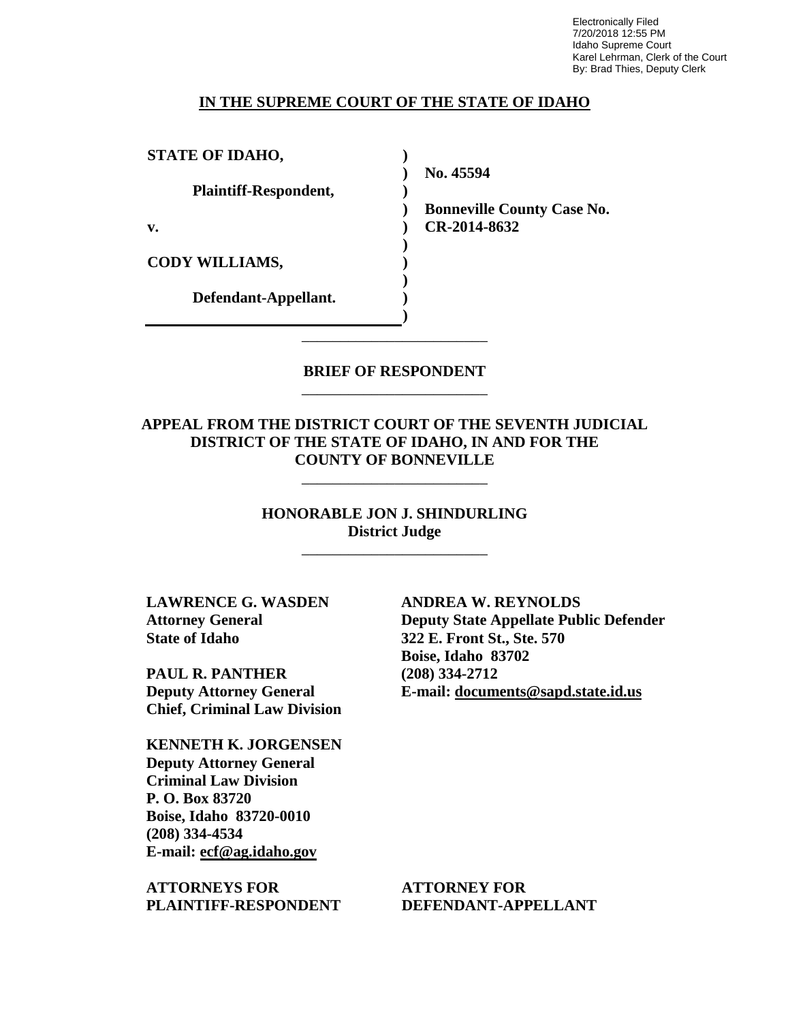Electronically Filed 7/20/2018 12:55 PM Idaho Supreme Court Karel Lehrman, Clerk of the Court By: Brad Thies, Deputy Clerk

#### **IN THE SUPREME COURT OF THE STATE OF IDAHO**

**) ) ) ) ) ) ) ) ) )**

**STATE OF IDAHO,**

**Plaintiff-Respondent,**

**v.** 

**CODY WILLIAMS,** 

**Defendant-Appellant.**

**No. 45594** 

**Bonneville County Case No. CR-2014-8632** 

### **BRIEF OF RESPONDENT** \_\_\_\_\_\_\_\_\_\_\_\_\_\_\_\_\_\_\_\_\_\_\_\_

\_\_\_\_\_\_\_\_\_\_\_\_\_\_\_\_\_\_\_\_\_\_\_\_

**APPEAL FROM THE DISTRICT COURT OF THE SEVENTH JUDICIAL DISTRICT OF THE STATE OF IDAHO, IN AND FOR THE COUNTY OF BONNEVILLE**

\_\_\_\_\_\_\_\_\_\_\_\_\_\_\_\_\_\_\_\_\_\_\_\_

**HONORABLE JON J. SHINDURLING District Judge**

\_\_\_\_\_\_\_\_\_\_\_\_\_\_\_\_\_\_\_\_\_\_\_\_

**LAWRENCE G. WASDEN Attorney General State of Idaho**

**PAUL R. PANTHER Deputy Attorney General Chief, Criminal Law Division**

**KENNETH K. JORGENSEN Deputy Attorney General Criminal Law Division P. O. Box 83720 Boise, Idaho 83720-0010 (208) 334-4534 E-mail: ecf@ag.idaho.gov** 

**ATTORNEYS FOR PLAINTIFF-RESPONDENT** **ANDREA W. REYNOLDS Deputy State Appellate Public Defender 322 E. Front St., Ste. 570 Boise, Idaho 83702 (208) 334-2712 E-mail: documents@sapd.state.id.us** 

**ATTORNEY FOR DEFENDANT-APPELLANT**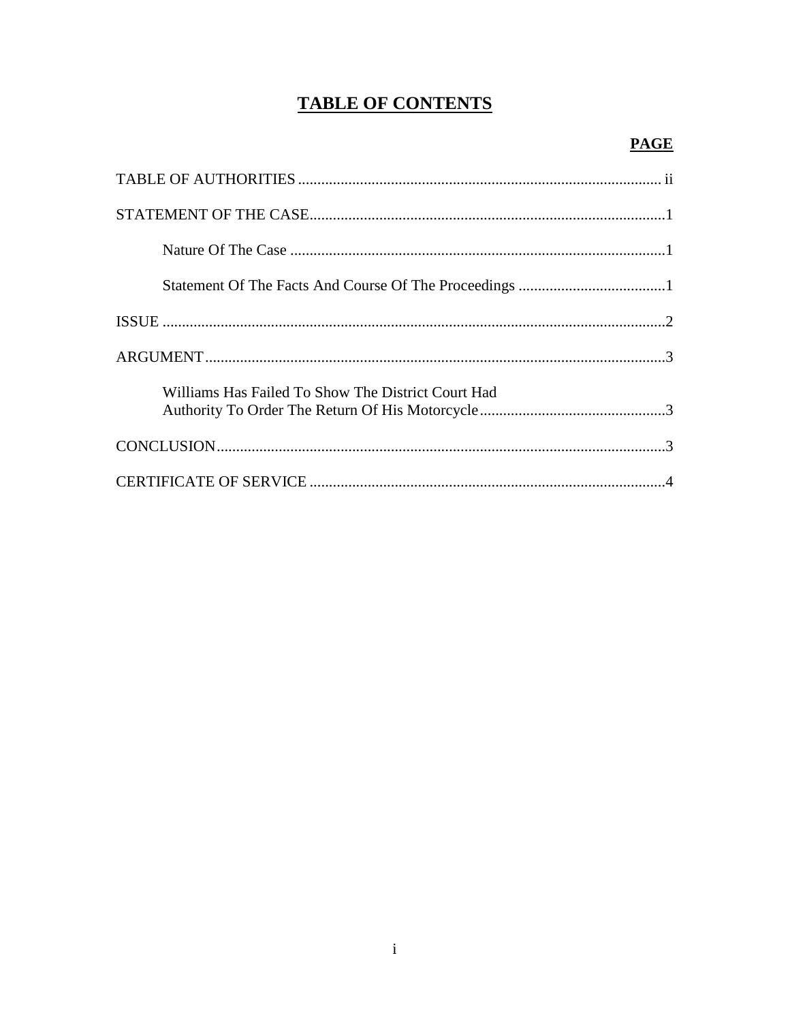# **TABLE OF CONTENTS**

## **PAGE**

| Williams Has Failed To Show The District Court Had |  |
|----------------------------------------------------|--|
|                                                    |  |
|                                                    |  |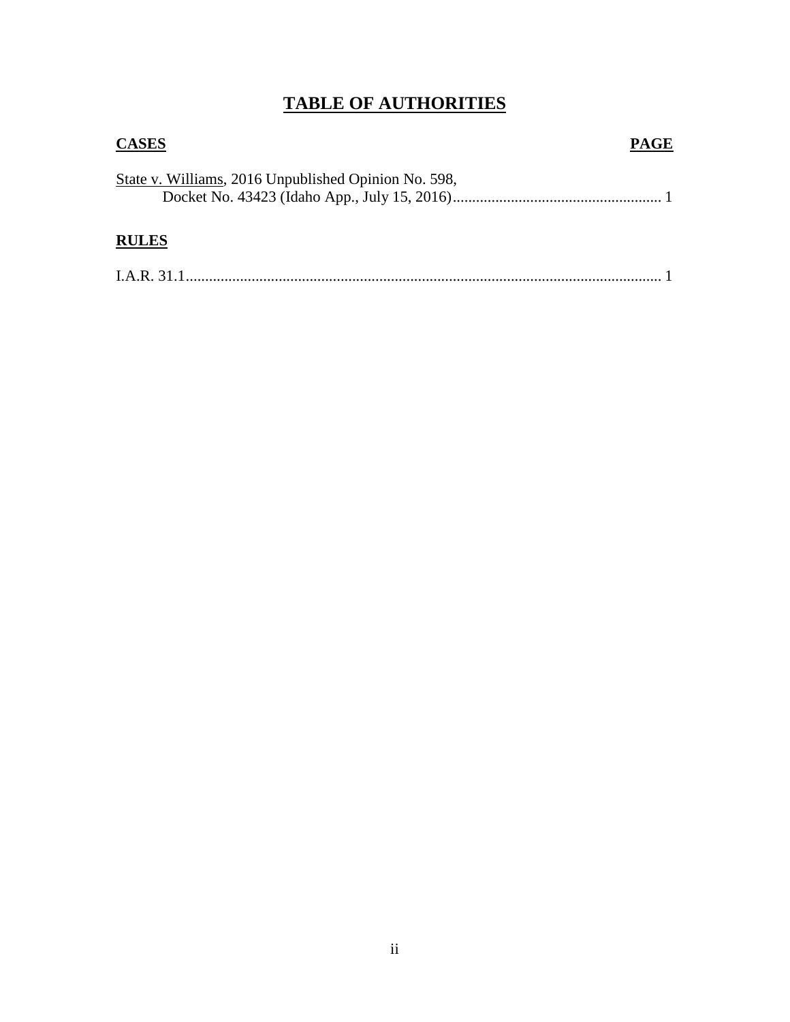# **TABLE OF AUTHORITIES**

| <b>CASES</b>                                         | <b>PAGE</b> |
|------------------------------------------------------|-------------|
| State v. Williams, 2016 Unpublished Opinion No. 598, |             |
| <b>RULES</b>                                         |             |
|                                                      |             |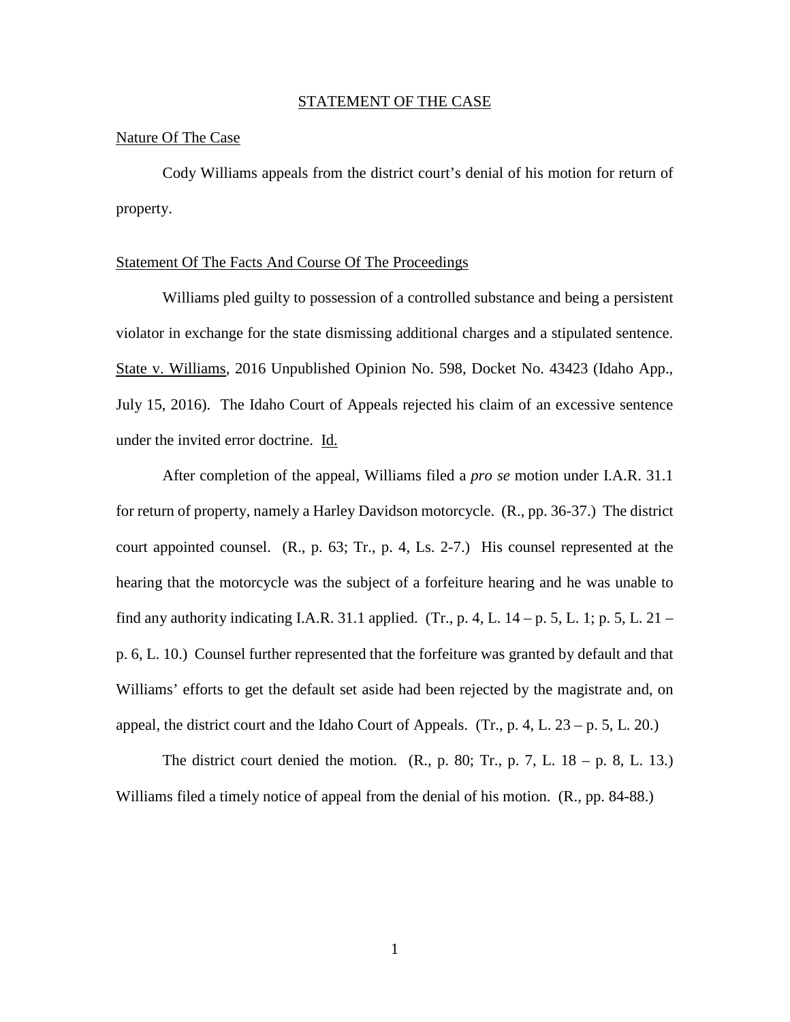#### STATEMENT OF THE CASE

#### Nature Of The Case

Cody Williams appeals from the district court's denial of his motion for return of property.

#### Statement Of The Facts And Course Of The Proceedings

Williams pled guilty to possession of a controlled substance and being a persistent violator in exchange for the state dismissing additional charges and a stipulated sentence. State v. Williams, 2016 Unpublished Opinion No. 598, Docket No. 43423 (Idaho App., July 15, 2016). The Idaho Court of Appeals rejected his claim of an excessive sentence under the invited error doctrine. Id.

After completion of the appeal, Williams filed a *pro se* motion under I.A.R. 31.1 for return of property, namely a Harley Davidson motorcycle. (R., pp. 36-37.) The district court appointed counsel. (R., p. 63; Tr., p. 4, Ls. 2-7.) His counsel represented at the hearing that the motorcycle was the subject of a forfeiture hearing and he was unable to find any authority indicating I.A.R. 31.1 applied. (Tr., p. 4, L.  $14 - p. 5$ , L.  $1$ ; p. 5, L.  $21 - p.$ p. 6, L. 10.) Counsel further represented that the forfeiture was granted by default and that Williams' efforts to get the default set aside had been rejected by the magistrate and, on appeal, the district court and the Idaho Court of Appeals. (Tr., p. 4, L.  $23 - p. 5$ , L. 20.)

The district court denied the motion.  $(R_1, p. 80; Tr_1, p. 7, L. 18 - p. 8, L. 13.)$ Williams filed a timely notice of appeal from the denial of his motion. (R., pp. 84-88.)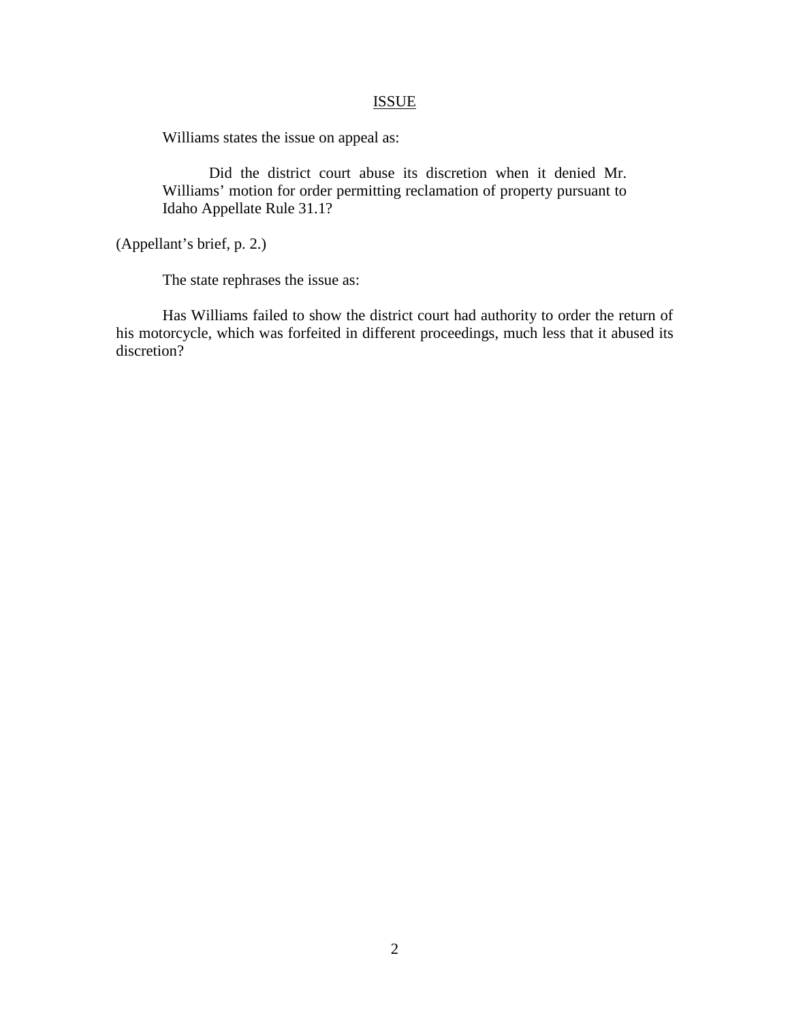## **ISSUE**

Williams states the issue on appeal as:

Did the district court abuse its discretion when it denied Mr. Williams' motion for order permitting reclamation of property pursuant to Idaho Appellate Rule 31.1?

(Appellant's brief, p. 2.)

The state rephrases the issue as:

Has Williams failed to show the district court had authority to order the return of his motorcycle, which was forfeited in different proceedings, much less that it abused its discretion?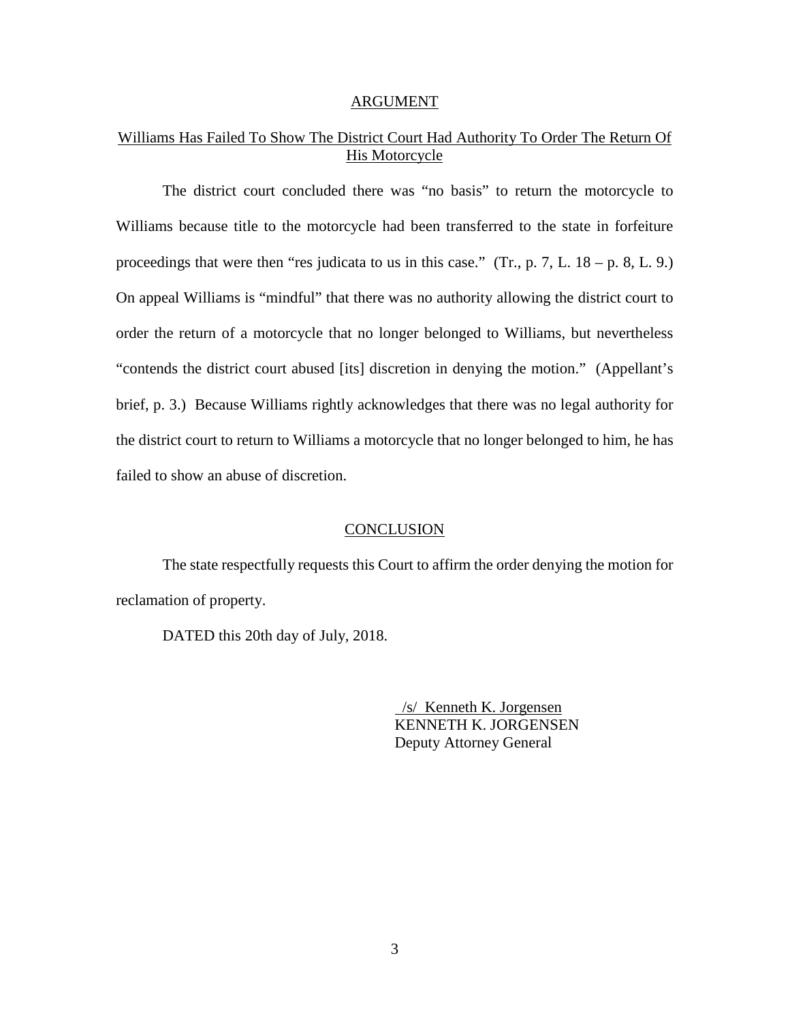#### ARGUMENT

## Williams Has Failed To Show The District Court Had Authority To Order The Return Of His Motorcycle

The district court concluded there was "no basis" to return the motorcycle to Williams because title to the motorcycle had been transferred to the state in forfeiture proceedings that were then "res judicata to us in this case." (Tr., p. 7, L.  $18 - p. 8$ , L. 9.) On appeal Williams is "mindful" that there was no authority allowing the district court to order the return of a motorcycle that no longer belonged to Williams, but nevertheless "contends the district court abused [its] discretion in denying the motion." (Appellant's brief, p. 3.) Because Williams rightly acknowledges that there was no legal authority for the district court to return to Williams a motorcycle that no longer belonged to him, he has failed to show an abuse of discretion.

#### **CONCLUSION**

The state respectfully requests this Court to affirm the order denying the motion for reclamation of property.

DATED this 20th day of July, 2018.

 /s/ Kenneth K. Jorgensen KENNETH K. JORGENSEN Deputy Attorney General